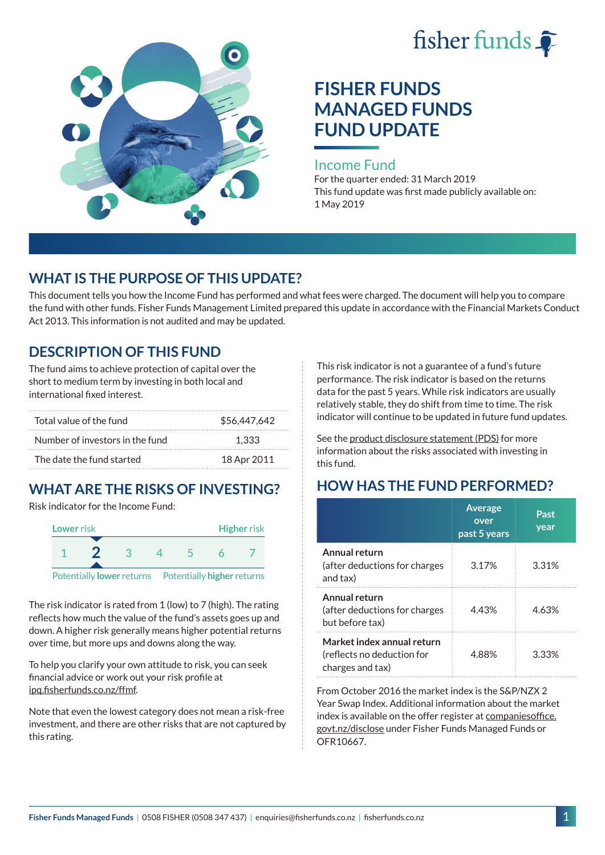



# **FISHER FUNDS MANAGED FUNDS FUND UPDATE**

#### Income Fund

For the quarter ended: 31 March 2019 This fund update was first made publicly available on: 1 May 2019

### **WHAT IS THE PURPOSE OF THIS UPDATE?**

This document tells you how the Income Fund has performed and what fees were charged. The document will help you to compare the fund with other funds. Fisher Funds Management Limited prepared this update in accordance with the Financial Markets Conduct Act 2013. This information is not audited and may be updated.

### **DESCRIPTION OF THIS FUND**

The fund aims to achieve protection of capital over the short to medium term by investing in both local and international fixed interest.

| Total value of the fund         | \$56,447,642 |
|---------------------------------|--------------|
| Number of investors in the fund | 1.333        |
| The date the fund started       | 18 Apr 2011  |

## **WHAT ARE THE RISKS OF INVESTING?**

Risk indicator for the Income Fund:



The risk indicator is rated from 1 (low) to 7 (high). The rating reflects how much the value of the fund's assets goes up and down. A higher risk generally means higher potential returns over time, but more ups and downs along the way.

To help you clarify your own attitude to risk, you can seek financial advice or work out your risk profile at [ipq.fisherfunds.co.nz/ffmf.](https://ipq.fisherfunds.co.nz/ffmf)

Note that even the lowest category does not mean a risk-free investment, and there are other risks that are not captured by this rating.

This risk indicator is not a guarantee of a fund's future performance. The risk indicator is based on the returns data for the past 5 years. While risk indicators are usually relatively stable, they do shift from time to time. The risk indicator will continue to be updated in future fund updates.

See the [product disclosure statement \(PDS\)](https://fisherfunds.co.nz/assets/PDS/Fisher-Funds-Managed-Funds-PDS.pdf) for more information about the risks associated with investing in this fund.

## **HOW HAS THE FUND PERFORMED?**

|                                                                              | <b>Average</b><br>over<br>past 5 years | Past<br>year |
|------------------------------------------------------------------------------|----------------------------------------|--------------|
| Annual return<br>(after deductions for charges<br>and tax)                   | 3.17%                                  | 3.31%        |
| Annual return<br>(after deductions for charges<br>but before tax)            | 4.43%                                  | 4.63%        |
| Market index annual return<br>(reflects no deduction for<br>charges and tax) | 4.88%                                  | 3.33%        |

From October 2016 the market index is the S&P/NZX 2 Year Swap Index. Additional information about the market index is available on the offer register at [companiesoffice.](http://companiesoffice.govt.nz/disclose) [govt.nz/disclose](http://companiesoffice.govt.nz/disclose) under Fisher Funds Managed Funds or OFR10667.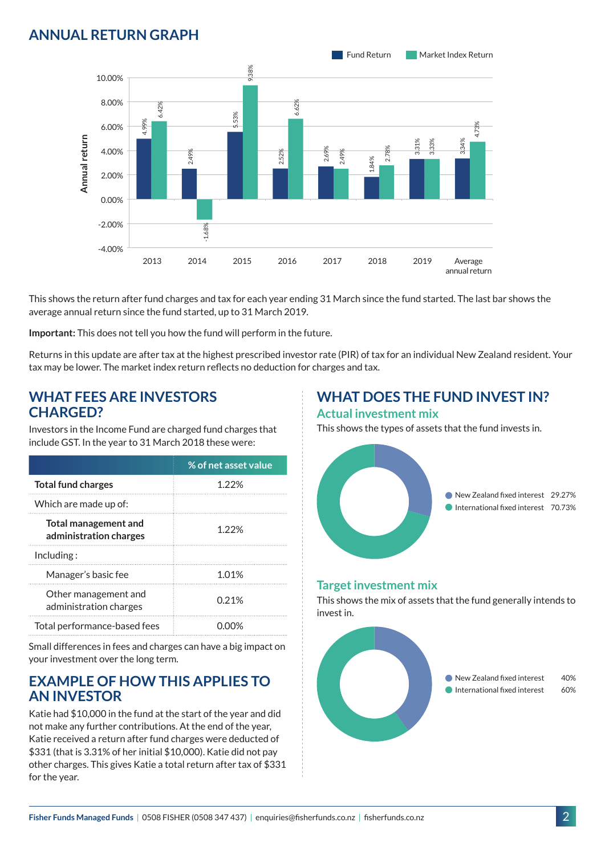### **ANNUAL RETURN GRAPH**



This shows the return after fund charges and tax for each year ending 31 March since the fund started. The last bar shows the average annual return since the fund started, up to 31 March 2019.

**Important:** This does not tell you how the fund will perform in the future.

Returns in this update are after tax at the highest prescribed investor rate (PIR) of tax for an individual New Zealand resident. Your tax may be lower. The market index return reflects no deduction for charges and tax.

#### **WHAT FEES ARE INVESTORS CHARGED?**

Investors in the Income Fund are charged fund charges that include GST. In the year to 31 March 2018 these were:

|                                                       | % of net asset value |
|-------------------------------------------------------|----------------------|
| <b>Total fund charges</b>                             | 1 22%                |
| Which are made up of:                                 |                      |
| <b>Total management and</b><br>administration charges | 1.22%                |
| Inding:                                               |                      |
| Manager's basic fee                                   | 101%                 |
| Other management and<br>administration charges        | 0.21%                |
| Total performance-based fees                          |                      |

Small differences in fees and charges can have a big impact on your investment over the long term.

### **EXAMPLE OF HOW THIS APPLIES TO AN INVESTOR**

Katie had \$10,000 in the fund at the start of the year and did not make any further contributions. At the end of the year, Katie received a return after fund charges were deducted of \$331 (that is 3.31% of her initial \$10,000). Katie did not pay other charges. This gives Katie a total return after tax of \$331 for the year.

#### **WHAT DOES THE FUND INVEST IN? Actual investment mix**

This shows the types of assets that the fund invests in.



#### **Target investment mix**

This shows the mix of assets that the fund generally intends to invest in.